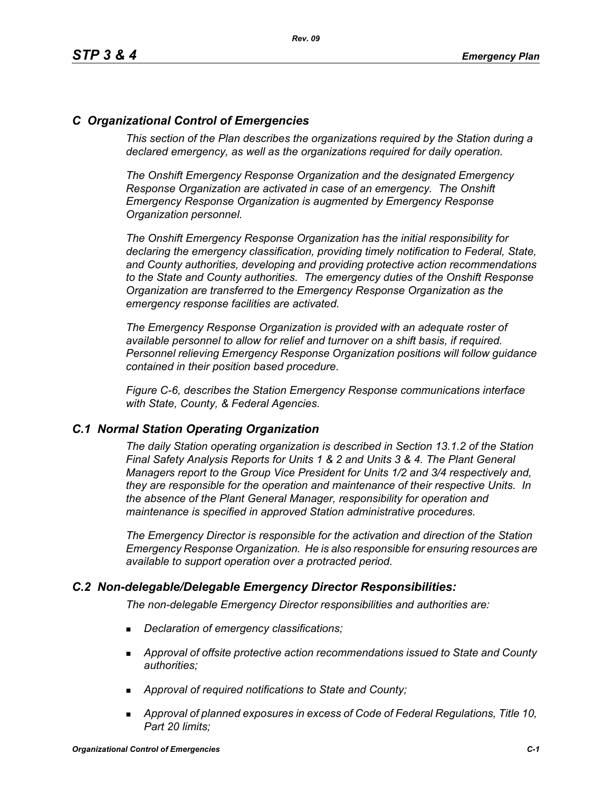## *C Organizational Control of Emergencies*

*This section of the Plan describes the organizations required by the Station during a declared emergency, as well as the organizations required for daily operation.*

*The Onshift Emergency Response Organization and the designated Emergency Response Organization are activated in case of an emergency. The Onshift Emergency Response Organization is augmented by Emergency Response Organization personnel.* 

*The Onshift Emergency Response Organization has the initial responsibility for declaring the emergency classification, providing timely notification to Federal, State, and County authorities, developing and providing protective action recommendations to the State and County authorities. The emergency duties of the Onshift Response Organization are transferred to the Emergency Response Organization as the emergency response facilities are activated.* 

*The Emergency Response Organization is provided with an adequate roster of available personnel to allow for relief and turnover on a shift basis, if required. Personnel relieving Emergency Response Organization positions will follow guidance contained in their position based procedure.*

*Figure C-6, describes the Station Emergency Response communications interface with State, County, & Federal Agencies.*

### *C.1 Normal Station Operating Organization*

*The daily Station operating organization is described in Section 13.1.2 of the Station Final Safety Analysis Reports for Units 1 & 2 and Units 3 & 4. The Plant General Managers report to the Group Vice President for Units 1/2 and 3/4 respectively and, they are responsible for the operation and maintenance of their respective Units. In the absence of the Plant General Manager, responsibility for operation and maintenance is specified in approved Station administrative procedures.*

*The Emergency Director is responsible for the activation and direction of the Station Emergency Response Organization. He is also responsible for ensuring resources are available to support operation over a protracted period.*

### *C.2 Non-delegable/Delegable Emergency Director Responsibilities:*

*The non-delegable Emergency Director responsibilities and authorities are:*

- *Declaration of emergency classifications;*
- *Approval of offsite protective action recommendations issued to State and County authorities;*
- *Approval of required notifications to State and County;*
- *Approval of planned exposures in excess of Code of Federal Regulations, Title 10, Part 20 limits;*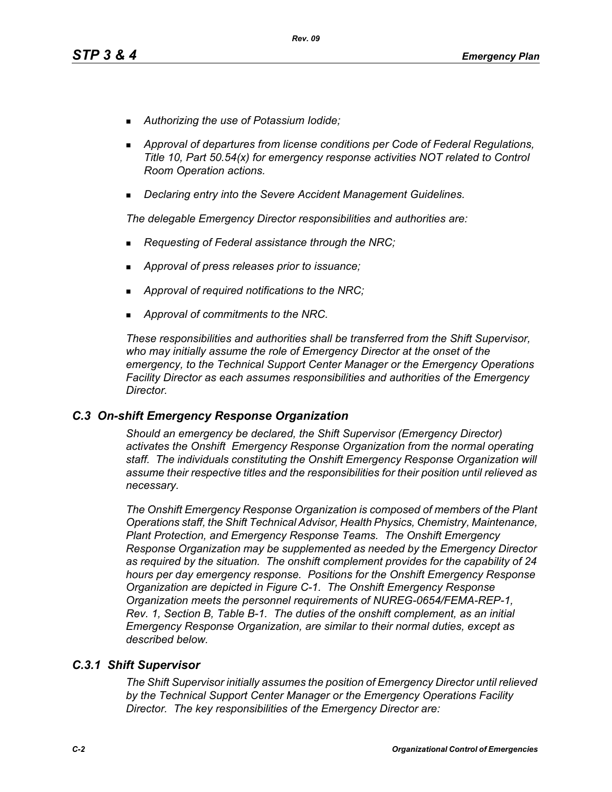- *Authorizing the use of Potassium Iodide;*
- *Approval of departures from license conditions per Code of Federal Regulations, Title 10, Part 50.54(x) for emergency response activities NOT related to Control Room Operation actions.*
- *Declaring entry into the Severe Accident Management Guidelines.*

*The delegable Emergency Director responsibilities and authorities are:*

- *Requesting of Federal assistance through the NRC;*
- *Approval of press releases prior to issuance;*
- *Approval of required notifications to the NRC;*
- *Approval of commitments to the NRC.*

*These responsibilities and authorities shall be transferred from the Shift Supervisor, who may initially assume the role of Emergency Director at the onset of the emergency, to the Technical Support Center Manager or the Emergency Operations Facility Director as each assumes responsibilities and authorities of the Emergency Director.*

### *C.3 On-shift Emergency Response Organization*

*Should an emergency be declared, the Shift Supervisor (Emergency Director) activates the Onshift Emergency Response Organization from the normal operating staff. The individuals constituting the Onshift Emergency Response Organization will assume their respective titles and the responsibilities for their position until relieved as necessary.*

*The Onshift Emergency Response Organization is composed of members of the Plant Operations staff, the Shift Technical Advisor, Health Physics, Chemistry, Maintenance, Plant Protection, and Emergency Response Teams. The Onshift Emergency Response Organization may be supplemented as needed by the Emergency Director as required by the situation. The onshift complement provides for the capability of 24 hours per day emergency response. Positions for the Onshift Emergency Response Organization are depicted in Figure C-1. The Onshift Emergency Response Organization meets the personnel requirements of NUREG-0654/FEMA-REP-1, Rev. 1, Section B, Table B-1. The duties of the onshift complement, as an initial Emergency Response Organization, are similar to their normal duties, except as described below.*

### *C.3.1 Shift Supervisor*

*The Shift Supervisor initially assumes the position of Emergency Director until relieved by the Technical Support Center Manager or the Emergency Operations Facility Director. The key responsibilities of the Emergency Director are:*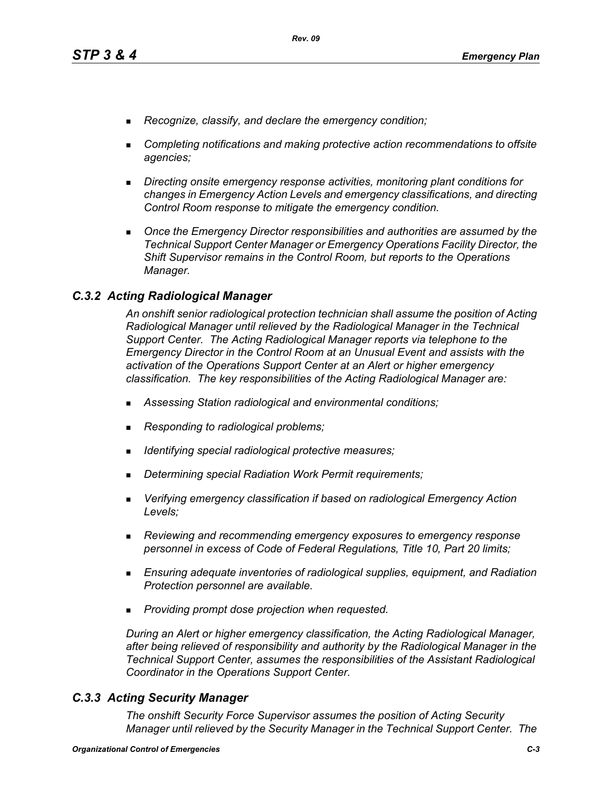- *Recognize, classify, and declare the emergency condition;*
- *Completing notifications and making protective action recommendations to offsite agencies;*
- *Directing onsite emergency response activities, monitoring plant conditions for changes in Emergency Action Levels and emergency classifications, and directing Control Room response to mitigate the emergency condition.*
- **Diangler 1** Once the Emergency Director responsibilities and authorities are assumed by the *Technical Support Center Manager or Emergency Operations Facility Director, the Shift Supervisor remains in the Control Room, but reports to the Operations Manager.*

### *C.3.2 Acting Radiological Manager*

*An onshift senior radiological protection technician shall assume the position of Acting Radiological Manager until relieved by the Radiological Manager in the Technical Support Center. The Acting Radiological Manager reports via telephone to the Emergency Director in the Control Room at an Unusual Event and assists with the activation of the Operations Support Center at an Alert or higher emergency classification. The key responsibilities of the Acting Radiological Manager are:*

- *Assessing Station radiological and environmental conditions;*
- *Responding to radiological problems;*
- *Identifying special radiological protective measures;*
- *Determining special Radiation Work Permit requirements;*
- *Verifying emergency classification if based on radiological Emergency Action Levels;*
- *Reviewing and recommending emergency exposures to emergency response personnel in excess of Code of Federal Regulations, Title 10, Part 20 limits;*
- *Ensuring adequate inventories of radiological supplies, equipment, and Radiation Protection personnel are available.*
- *Providing prompt dose projection when requested.*

*During an Alert or higher emergency classification, the Acting Radiological Manager, after being relieved of responsibility and authority by the Radiological Manager in the Technical Support Center, assumes the responsibilities of the Assistant Radiological Coordinator in the Operations Support Center.*

### *C.3.3 Acting Security Manager*

*The onshift Security Force Supervisor assumes the position of Acting Security Manager until relieved by the Security Manager in the Technical Support Center. The*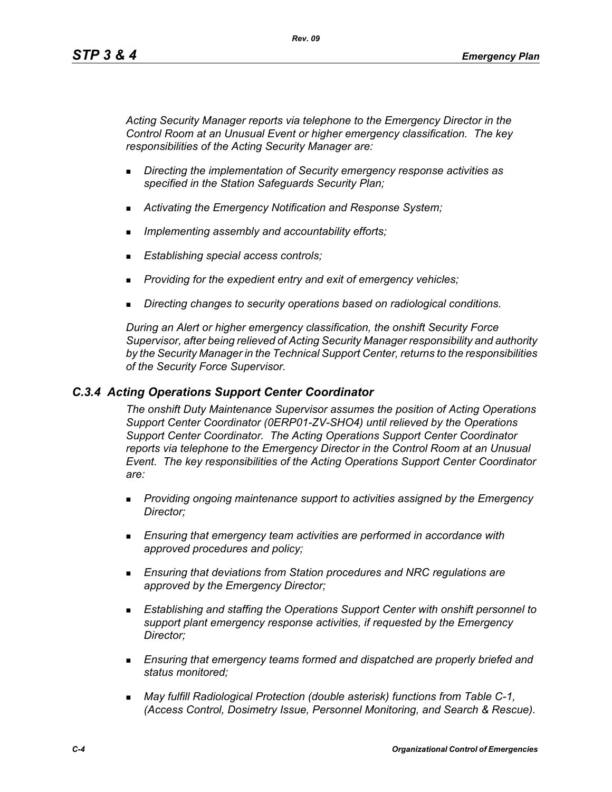*Acting Security Manager reports via telephone to the Emergency Director in the Control Room at an Unusual Event or higher emergency classification. The key responsibilities of the Acting Security Manager are:*

- *Directing the implementation of Security emergency response activities as specified in the Station Safeguards Security Plan;*
- *Activating the Emergency Notification and Response System;*
- *Implementing assembly and accountability efforts;*
- *Establishing special access controls;*
- *Providing for the expedient entry and exit of emergency vehicles;*
- *Directing changes to security operations based on radiological conditions.*

*During an Alert or higher emergency classification, the onshift Security Force Supervisor, after being relieved of Acting Security Manager responsibility and authority by the Security Manager in the Technical Support Center, returns to the responsibilities of the Security Force Supervisor.*

### *C.3.4 Acting Operations Support Center Coordinator*

*The onshift Duty Maintenance Supervisor assumes the position of Acting Operations Support Center Coordinator (0ERP01-ZV-SHO4) until relieved by the Operations Support Center Coordinator. The Acting Operations Support Center Coordinator reports via telephone to the Emergency Director in the Control Room at an Unusual Event. The key responsibilities of the Acting Operations Support Center Coordinator are:*

- *Providing ongoing maintenance support to activities assigned by the Emergency Director;*
- *Ensuring that emergency team activities are performed in accordance with approved procedures and policy;*
- *Ensuring that deviations from Station procedures and NRC regulations are approved by the Emergency Director;*
- *Establishing and staffing the Operations Support Center with onshift personnel to support plant emergency response activities, if requested by the Emergency Director;*
- *Ensuring that emergency teams formed and dispatched are properly briefed and status monitored;*
- *May fulfill Radiological Protection (double asterisk) functions from Table C-1, (Access Control, Dosimetry Issue, Personnel Monitoring, and Search & Rescue).*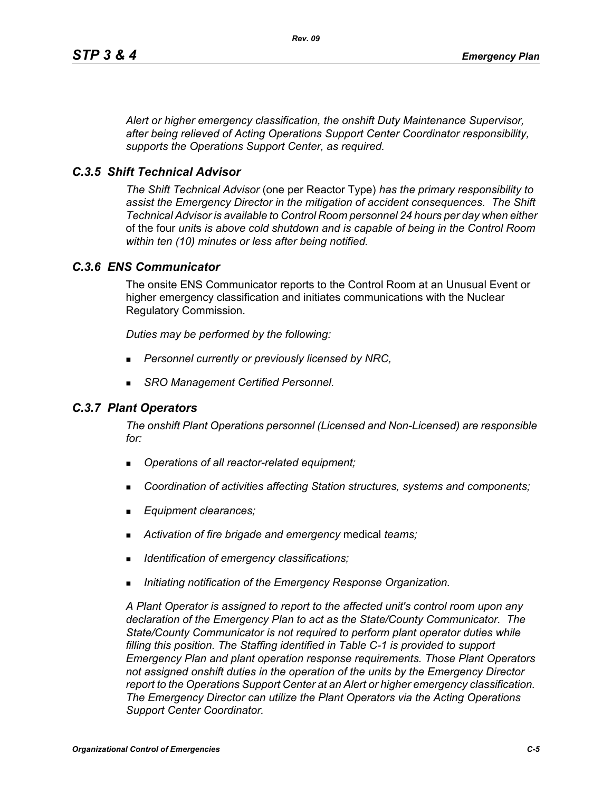*Alert or higher emergency classification, the onshift Duty Maintenance Supervisor, after being relieved of Acting Operations Support Center Coordinator responsibility, supports the Operations Support Center, as required.*

### *C.3.5 Shift Technical Advisor*

*The Shift Technical Advisor* (one per Reactor Type) *has the primary responsibility to assist the Emergency Director in the mitigation of accident consequences. The Shift Technical Advisor is available to Control Room personnel 24 hours per day when either*  of the four *unit*s *is above cold shutdown and is capable of being in the Control Room within ten (10) minutes or less after being notified.*

### *C.3.6 ENS Communicator*

The onsite ENS Communicator reports to the Control Room at an Unusual Event or higher emergency classification and initiates communications with the Nuclear Regulatory Commission.

*Duties may be performed by the following:*

- *Personnel currently or previously licensed by NRC,*
- *SRO Management Certified Personnel.*

### *C.3.7 Plant Operators*

*The onshift Plant Operations personnel (Licensed and Non-Licensed) are responsible for:*

- *Operations of all reactor-related equipment;*
- *Coordination of activities affecting Station structures, systems and components;*
- *Equipment clearances;*
- *Activation of fire brigade and emergency* medical *teams;*
- *Identification of emergency classifications;*
- *Initiating notification of the Emergency Response Organization.*

*A Plant Operator is assigned to report to the affected unit's control room upon any declaration of the Emergency Plan to act as the State/County Communicator. The State/County Communicator is not required to perform plant operator duties while filling this position. The Staffing identified in Table C-1 is provided to support Emergency Plan and plant operation response requirements. Those Plant Operators not assigned onshift duties in the operation of the units by the Emergency Director report to the Operations Support Center at an Alert or higher emergency classification. The Emergency Director can utilize the Plant Operators via the Acting Operations Support Center Coordinator.*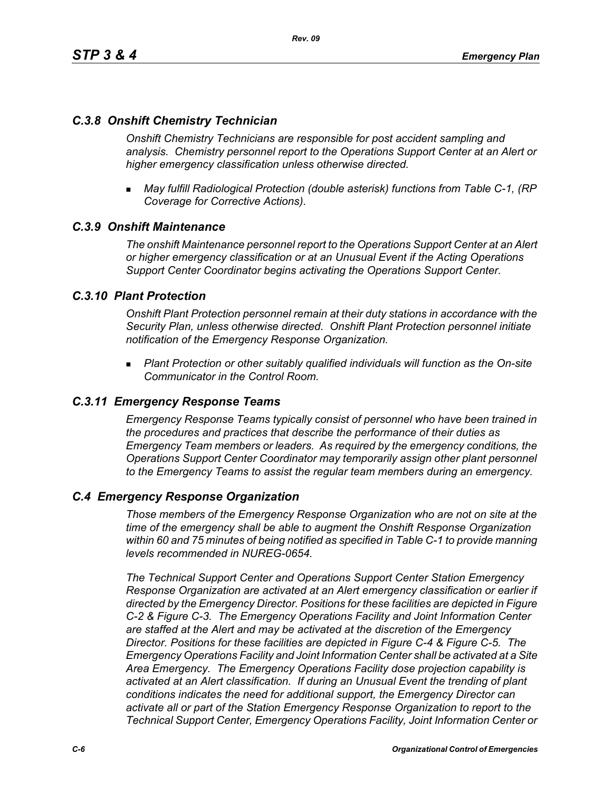## *C.3.8 Onshift Chemistry Technician*

*Onshift Chemistry Technicians are responsible for post accident sampling and analysis. Chemistry personnel report to the Operations Support Center at an Alert or higher emergency classification unless otherwise directed.*

 *May fulfill Radiological Protection (double asterisk) functions from Table C-1, (RP Coverage for Corrective Actions).*

### *C.3.9 Onshift Maintenance*

*The onshift Maintenance personnel report to the Operations Support Center at an Alert or higher emergency classification or at an Unusual Event if the Acting Operations Support Center Coordinator begins activating the Operations Support Center.*

### *C.3.10 Plant Protection*

*Onshift Plant Protection personnel remain at their duty stations in accordance with the Security Plan, unless otherwise directed. Onshift Plant Protection personnel initiate notification of the Emergency Response Organization.*

 *Plant Protection or other suitably qualified individuals will function as the On-site Communicator in the Control Room.*

### *C.3.11 Emergency Response Teams*

*Emergency Response Teams typically consist of personnel who have been trained in the procedures and practices that describe the performance of their duties as Emergency Team members or leaders. As required by the emergency conditions, the Operations Support Center Coordinator may temporarily assign other plant personnel to the Emergency Teams to assist the regular team members during an emergency.*

### *C.4 Emergency Response Organization*

*Those members of the Emergency Response Organization who are not on site at the time of the emergency shall be able to augment the Onshift Response Organization within 60 and 75 minutes of being notified as specified in Table C-1 to provide manning levels recommended in NUREG-0654.*

*The Technical Support Center and Operations Support Center Station Emergency Response Organization are activated at an Alert emergency classification or earlier if directed by the Emergency Director. Positions for these facilities are depicted in Figure C-2 & Figure C-3. The Emergency Operations Facility and Joint Information Center are staffed at the Alert and may be activated at the discretion of the Emergency Director. Positions for these facilities are depicted in Figure C-4 & Figure C-5. The Emergency Operations Facility and Joint Information Center shall be activated at a Site Area Emergency. The Emergency Operations Facility dose projection capability is activated at an Alert classification. If during an Unusual Event the trending of plant conditions indicates the need for additional support, the Emergency Director can activate all or part of the Station Emergency Response Organization to report to the Technical Support Center, Emergency Operations Facility, Joint Information Center or*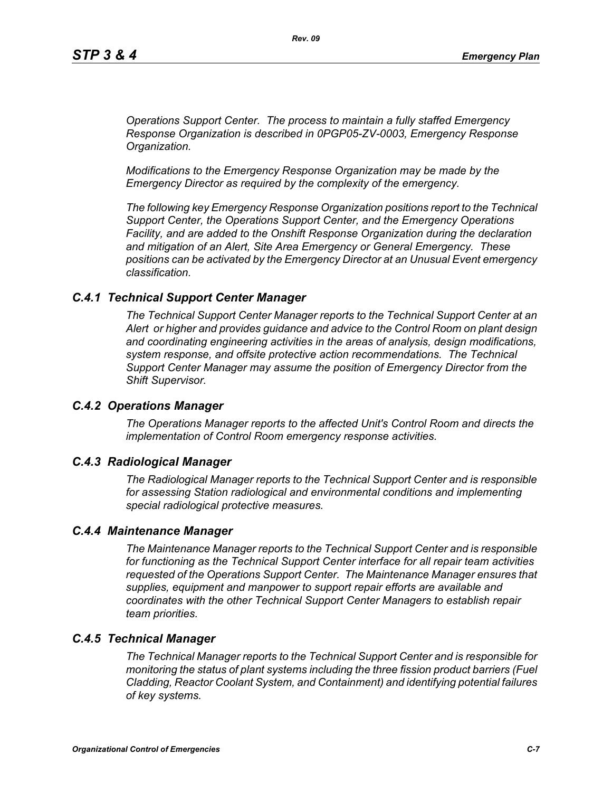*Operations Support Center. The process to maintain a fully staffed Emergency Response Organization is described in 0PGP05-ZV-0003, Emergency Response Organization.*

*Modifications to the Emergency Response Organization may be made by the Emergency Director as required by the complexity of the emergency.*

*The following key Emergency Response Organization positions report to the Technical Support Center, the Operations Support Center, and the Emergency Operations Facility, and are added to the Onshift Response Organization during the declaration and mitigation of an Alert, Site Area Emergency or General Emergency. These positions can be activated by the Emergency Director at an Unusual Event emergency classification.*

### *C.4.1 Technical Support Center Manager*

*The Technical Support Center Manager reports to the Technical Support Center at an Alert or higher and provides guidance and advice to the Control Room on plant design and coordinating engineering activities in the areas of analysis, design modifications, system response, and offsite protective action recommendations. The Technical Support Center Manager may assume the position of Emergency Director from the Shift Supervisor.*

### *C.4.2 Operations Manager*

*The Operations Manager reports to the affected Unit's Control Room and directs the implementation of Control Room emergency response activities.*

#### *C.4.3 Radiological Manager*

*The Radiological Manager reports to the Technical Support Center and is responsible for assessing Station radiological and environmental conditions and implementing special radiological protective measures.*

#### *C.4.4 Maintenance Manager*

*The Maintenance Manager reports to the Technical Support Center and is responsible for functioning as the Technical Support Center interface for all repair team activities requested of the Operations Support Center. The Maintenance Manager ensures that supplies, equipment and manpower to support repair efforts are available and coordinates with the other Technical Support Center Managers to establish repair team priorities.* 

### *C.4.5 Technical Manager*

*The Technical Manager reports to the Technical Support Center and is responsible for monitoring the status of plant systems including the three fission product barriers (Fuel Cladding, Reactor Coolant System, and Containment) and identifying potential failures of key systems.*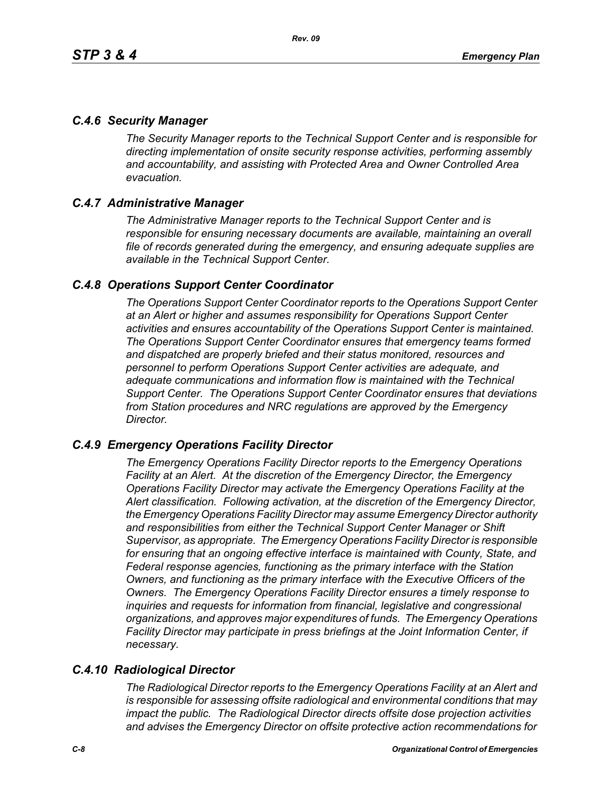## *C.4.6 Security Manager*

*The Security Manager reports to the Technical Support Center and is responsible for directing implementation of onsite security response activities, performing assembly and accountability, and assisting with Protected Area and Owner Controlled Area evacuation.* 

## *C.4.7 Administrative Manager*

*The Administrative Manager reports to the Technical Support Center and is responsible for ensuring necessary documents are available, maintaining an overall file of records generated during the emergency, and ensuring adequate supplies are available in the Technical Support Center.* 

### *C.4.8 Operations Support Center Coordinator*

*The Operations Support Center Coordinator reports to the Operations Support Center at an Alert or higher and assumes responsibility for Operations Support Center activities and ensures accountability of the Operations Support Center is maintained. The Operations Support Center Coordinator ensures that emergency teams formed and dispatched are properly briefed and their status monitored, resources and personnel to perform Operations Support Center activities are adequate, and adequate communications and information flow is maintained with the Technical Support Center. The Operations Support Center Coordinator ensures that deviations from Station procedures and NRC regulations are approved by the Emergency Director.* 

### *C.4.9 Emergency Operations Facility Director*

*The Emergency Operations Facility Director reports to the Emergency Operations Facility at an Alert. At the discretion of the Emergency Director, the Emergency Operations Facility Director may activate the Emergency Operations Facility at the Alert classification. Following activation, at the discretion of the Emergency Director, the Emergency Operations Facility Director may assume Emergency Director authority and responsibilities from either the Technical Support Center Manager or Shift Supervisor, as appropriate. The Emergency Operations Facility Director is responsible*  for ensuring that an ongoing effective interface is maintained with County, State, and *Federal response agencies, functioning as the primary interface with the Station Owners, and functioning as the primary interface with the Executive Officers of the Owners. The Emergency Operations Facility Director ensures a timely response to inquiries and requests for information from financial, legislative and congressional organizations, and approves major expenditures of funds. The Emergency Operations Facility Director may participate in press briefings at the Joint Information Center, if necessary.* 

# *C.4.10 Radiological Director*

*The Radiological Director reports to the Emergency Operations Facility at an Alert and is responsible for assessing offsite radiological and environmental conditions that may impact the public. The Radiological Director directs offsite dose projection activities and advises the Emergency Director on offsite protective action recommendations for*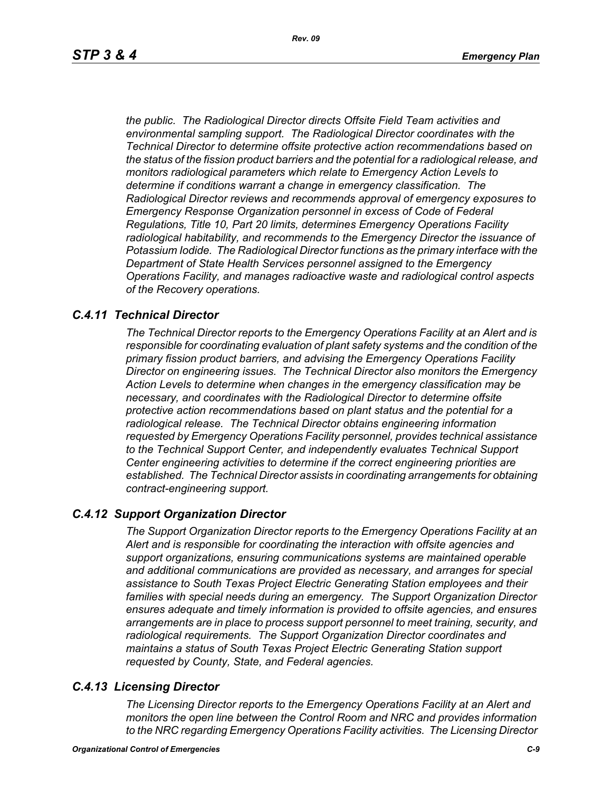*the public. The Radiological Director directs Offsite Field Team activities and environmental sampling support. The Radiological Director coordinates with the Technical Director to determine offsite protective action recommendations based on the status of the fission product barriers and the potential for a radiological release, and monitors radiological parameters which relate to Emergency Action Levels to determine if conditions warrant a change in emergency classification. The Radiological Director reviews and recommends approval of emergency exposures to Emergency Response Organization personnel in excess of Code of Federal Regulations, Title 10, Part 20 limits, determines Emergency Operations Facility radiological habitability, and recommends to the Emergency Director the issuance of Potassium Iodide. The Radiological Director functions as the primary interface with the Department of State Health Services personnel assigned to the Emergency Operations Facility, and manages radioactive waste and radiological control aspects of the Recovery operations.* 

### *C.4.11 Technical Director*

*The Technical Director reports to the Emergency Operations Facility at an Alert and is responsible for coordinating evaluation of plant safety systems and the condition of the primary fission product barriers, and advising the Emergency Operations Facility Director on engineering issues. The Technical Director also monitors the Emergency Action Levels to determine when changes in the emergency classification may be necessary, and coordinates with the Radiological Director to determine offsite protective action recommendations based on plant status and the potential for a radiological release. The Technical Director obtains engineering information requested by Emergency Operations Facility personnel, provides technical assistance to the Technical Support Center, and independently evaluates Technical Support Center engineering activities to determine if the correct engineering priorities are established. The Technical Director assists in coordinating arrangements for obtaining contract-engineering support.* 

### *C.4.12 Support Organization Director*

*The Support Organization Director reports to the Emergency Operations Facility at an Alert and is responsible for coordinating the interaction with offsite agencies and support organizations, ensuring communications systems are maintained operable and additional communications are provided as necessary, and arranges for special assistance to South Texas Project Electric Generating Station employees and their families with special needs during an emergency. The Support Organization Director ensures adequate and timely information is provided to offsite agencies, and ensures arrangements are in place to process support personnel to meet training, security, and radiological requirements. The Support Organization Director coordinates and maintains a status of South Texas Project Electric Generating Station support requested by County, State, and Federal agencies.*

### *C.4.13 Licensing Director*

*The Licensing Director reports to the Emergency Operations Facility at an Alert and monitors the open line between the Control Room and NRC and provides information to the NRC regarding Emergency Operations Facility activities. The Licensing Director*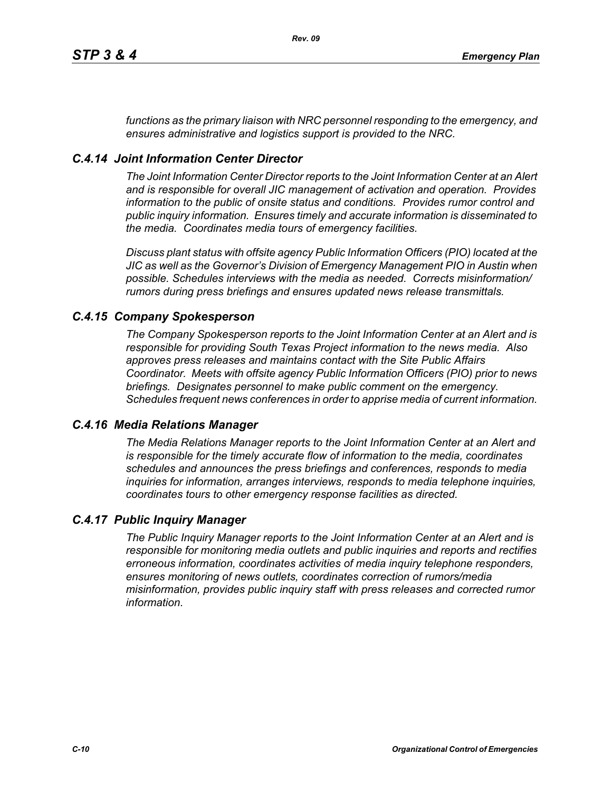*functions as the primary liaison with NRC personnel responding to the emergency, and ensures administrative and logistics support is provided to the NRC.*

## *C.4.14 Joint Information Center Director*

*The Joint Information Center Director reports to the Joint Information Center at an Alert and is responsible for overall JIC management of activation and operation. Provides information to the public of onsite status and conditions. Provides rumor control and public inquiry information. Ensures timely and accurate information is disseminated to the media. Coordinates media tours of emergency facilities.* 

*Discuss plant status with offsite agency Public Information Officers (PIO) located at the JIC as well as the Governor's Division of Emergency Management PIO in Austin when possible. Schedules interviews with the media as needed. Corrects misinformation/ rumors during press briefings and ensures updated news release transmittals.*

### *C.4.15 Company Spokesperson*

*The Company Spokesperson reports to the Joint Information Center at an Alert and is responsible for providing South Texas Project information to the news media. Also approves press releases and maintains contact with the Site Public Affairs Coordinator. Meets with offsite agency Public Information Officers (PIO) prior to news briefings. Designates personnel to make public comment on the emergency. Schedules frequent news conferences in order to apprise media of current information.* 

### *C.4.16 Media Relations Manager*

*The Media Relations Manager reports to the Joint Information Center at an Alert and is responsible for the timely accurate flow of information to the media, coordinates schedules and announces the press briefings and conferences, responds to media inquiries for information, arranges interviews, responds to media telephone inquiries, coordinates tours to other emergency response facilities as directed.*

### *C.4.17 Public Inquiry Manager*

*The Public Inquiry Manager reports to the Joint Information Center at an Alert and is responsible for monitoring media outlets and public inquiries and reports and rectifies erroneous information, coordinates activities of media inquiry telephone responders, ensures monitoring of news outlets, coordinates correction of rumors/media misinformation, provides public inquiry staff with press releases and corrected rumor information.*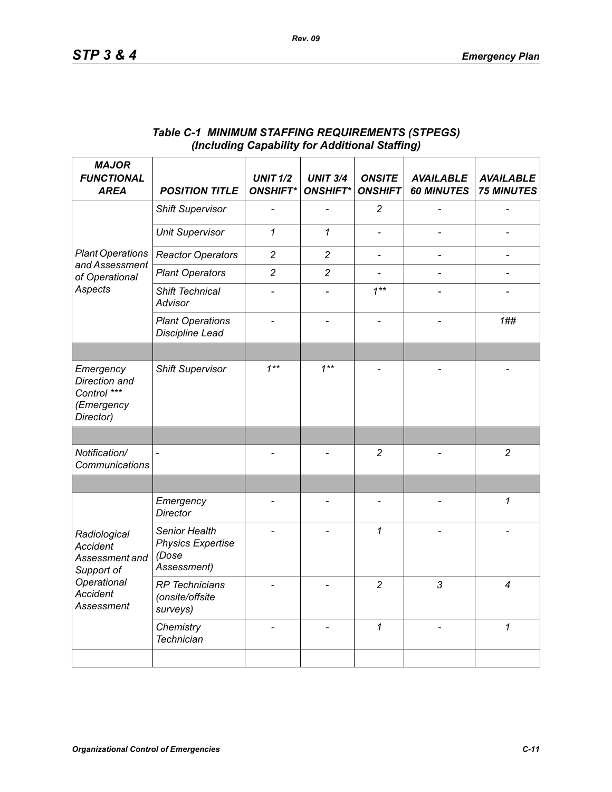| <b>MAJOR</b><br><b>FUNCTIONAL</b><br><b>AREA</b>                                                                       | <b>POSITION TITLE</b>                                             | <b>UNIT 1/2</b><br><b>ONSHIFT*</b> | <b>UNIT 3/4</b><br><b>ONSHIFT*</b> | <b>ONSITE</b><br><b>ONSHIFT</b> | <b>AVAILABLE</b><br><b>60 MINUTES</b> | <b>AVAILABLE</b><br><b>75 MINUTES</b> |
|------------------------------------------------------------------------------------------------------------------------|-------------------------------------------------------------------|------------------------------------|------------------------------------|---------------------------------|---------------------------------------|---------------------------------------|
|                                                                                                                        | <b>Shift Supervisor</b>                                           |                                    |                                    | $\overline{c}$                  |                                       |                                       |
|                                                                                                                        | <b>Unit Supervisor</b>                                            | $\mathcal I$                       | $\mathcal I$                       |                                 |                                       |                                       |
| <b>Plant Operations</b>                                                                                                | <b>Reactor Operators</b>                                          | $\overline{c}$                     | $\overline{c}$                     | $\frac{1}{2}$                   |                                       | $\qquad \qquad \blacksquare$          |
| and Assessment<br>of Operational<br>Aspects                                                                            | <b>Plant Operators</b>                                            | $\overline{2}$                     | $\overline{2}$                     | $\overline{\phantom{a}}$        |                                       |                                       |
|                                                                                                                        | Shift Technical<br><b>Advisor</b>                                 |                                    |                                    | $1***$                          |                                       |                                       |
|                                                                                                                        | <b>Plant Operations</b><br>Discipline Lead                        |                                    |                                    |                                 |                                       | 1##                                   |
|                                                                                                                        |                                                                   |                                    |                                    |                                 |                                       |                                       |
| Emergency<br>Direction and<br>Control ***<br>(Emergency<br>Director)                                                   | <b>Shift Supervisor</b>                                           | $1***$                             | $1***$                             |                                 |                                       |                                       |
|                                                                                                                        |                                                                   |                                    |                                    |                                 |                                       |                                       |
| Notification/<br>Communications                                                                                        |                                                                   |                                    |                                    | $\overline{c}$                  |                                       | $\overline{c}$                        |
|                                                                                                                        |                                                                   |                                    |                                    |                                 |                                       |                                       |
| Radiological<br><b>Accident</b><br>Assessment and<br>Support of<br>Operational<br><b>Accident</b><br><b>Assessment</b> | Emergency<br><b>Director</b>                                      |                                    | $\overline{\phantom{0}}$           | $\overline{\phantom{a}}$        |                                       | 1                                     |
|                                                                                                                        | Senior Health<br><b>Physics Expertise</b><br>(Dose<br>Assessment) |                                    |                                    | 1                               |                                       |                                       |
|                                                                                                                        | <b>RP</b> Technicians<br>(onsite/offsite<br>surveys)              |                                    |                                    | $\overline{c}$                  | 3                                     | 4                                     |
|                                                                                                                        | Chemistry<br><b>Technician</b>                                    |                                    |                                    | $\mathbf{1}$                    |                                       | $\mathbf{1}$                          |
|                                                                                                                        |                                                                   |                                    |                                    |                                 |                                       |                                       |

### *Table C-1 MINIMUM STAFFING REQUIREMENTS (STPEGS) (Including Capability for Additional Staffing)*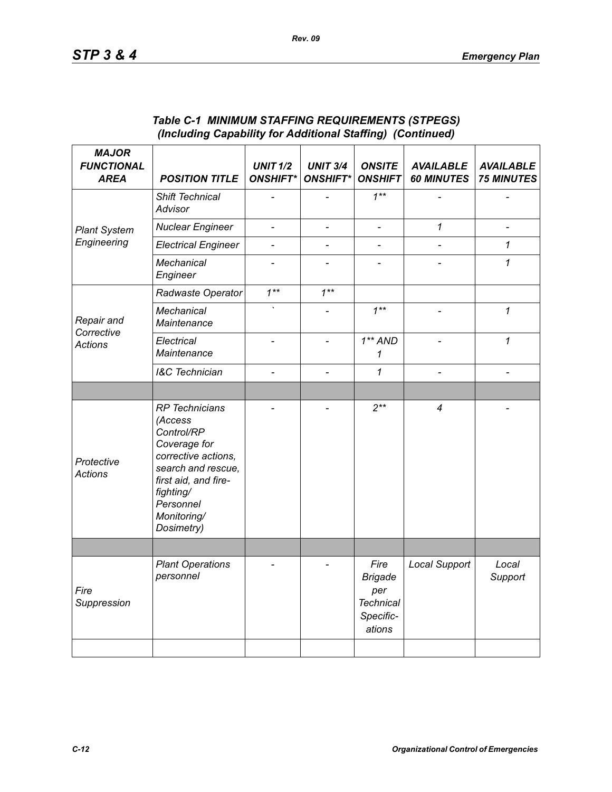| <b>MAJOR</b><br><b>FUNCTIONAL</b><br><b>AREA</b> | <b>POSITION TITLE</b>                                                                                                                                                                      | <b>UNIT 1/2</b><br><b>ONSHIFT*</b> | <b>UNIT 3/4</b><br><b>ONSHIFT*</b> | <b>ONSITE</b><br><b>ONSHIFT</b>                                          | <b>AVAILABLE</b><br><b>60 MINUTES</b> | <b>AVAILABLE</b><br><b>75 MINUTES</b> |
|--------------------------------------------------|--------------------------------------------------------------------------------------------------------------------------------------------------------------------------------------------|------------------------------------|------------------------------------|--------------------------------------------------------------------------|---------------------------------------|---------------------------------------|
| <b>Plant System</b>                              | Shift Technical<br>Advisor                                                                                                                                                                 |                                    |                                    | $1***$                                                                   |                                       |                                       |
|                                                  | <b>Nuclear Engineer</b>                                                                                                                                                                    | $\overline{\phantom{a}}$           | $\overline{a}$                     | $\overline{\phantom{a}}$                                                 | $\mathcal I$                          | $\frac{1}{2}$                         |
| Engineering                                      | <b>Electrical Engineer</b>                                                                                                                                                                 |                                    | $\overline{a}$                     | $\overline{a}$                                                           |                                       | $\mathcal I$                          |
|                                                  | Mechanical<br>Engineer                                                                                                                                                                     | $\overline{\phantom{0}}$           |                                    | $\overline{\phantom{0}}$                                                 |                                       | 1                                     |
| Repair and<br>Corrective<br><b>Actions</b>       | Radwaste Operator                                                                                                                                                                          | $1***$                             | $1***$                             |                                                                          |                                       |                                       |
|                                                  | Mechanical<br>Maintenance                                                                                                                                                                  |                                    |                                    | $1^{**}$                                                                 | $\overline{a}$                        | 1                                     |
|                                                  | Electrical<br>Maintenance                                                                                                                                                                  |                                    |                                    | $1**AND$<br>$\mathcal I$                                                 |                                       | 1                                     |
|                                                  | <b>I&amp;C</b> Technician                                                                                                                                                                  | $\overline{\phantom{a}}$           | $\overline{a}$                     | 1                                                                        | $\overline{a}$                        |                                       |
|                                                  |                                                                                                                                                                                            |                                    |                                    |                                                                          |                                       |                                       |
| Protective<br><b>Actions</b>                     | <b>RP</b> Technicians<br>(Access<br>Control/RP<br>Coverage for<br>corrective actions,<br>search and rescue,<br>first aid, and fire-<br>fighting/<br>Personnel<br>Monitoring/<br>Dosimetry) |                                    |                                    | $2***$                                                                   | 4                                     |                                       |
|                                                  |                                                                                                                                                                                            |                                    |                                    |                                                                          |                                       |                                       |
| Fire<br>Suppression                              | <b>Plant Operations</b><br>personnel                                                                                                                                                       |                                    |                                    | Fire<br><b>Brigade</b><br>per<br><b>Technical</b><br>Specific-<br>ations | Local Support                         | Local<br>Support                      |
|                                                  |                                                                                                                                                                                            |                                    |                                    |                                                                          |                                       |                                       |

### *Table C-1 MINIMUM STAFFING REQUIREMENTS (STPEGS) (Including Capability for Additional Staffing) (Continued)*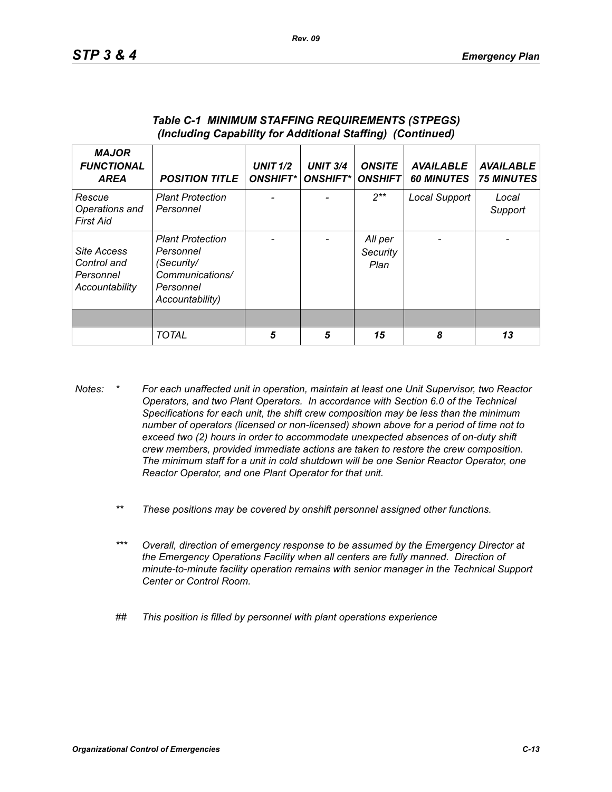| <b>MAJOR</b><br><b>FUNCTIONAL</b><br><b>AREA</b>          | <b>POSITION TITLE</b>                                                                                 | <b>UNIT 1/2</b><br><b>ONSHIFT*</b> | <b>UNIT 3/4</b><br><b>ONSHIFT*I</b> | <b>ONSITE</b><br><b>ONSHIFT</b> | <b>AVAILABLE</b><br><b>60 MINUTES</b> | <b>AVAILABLE</b><br><b>75 MINUTES</b> |
|-----------------------------------------------------------|-------------------------------------------------------------------------------------------------------|------------------------------------|-------------------------------------|---------------------------------|---------------------------------------|---------------------------------------|
| Rescue<br>Operations and<br>First Aid                     | <b>Plant Protection</b><br>Personnel                                                                  |                                    |                                     | $2**$                           | Local Support                         | Local<br>Support                      |
| Site Access<br>Control and<br>Personnel<br>Accountability | <b>Plant Protection</b><br>Personnel<br>(Security/<br>Communications/<br>Personnel<br>Accountability) |                                    |                                     | All per<br>Security<br>Plan     |                                       |                                       |
|                                                           |                                                                                                       |                                    |                                     |                                 |                                       |                                       |
|                                                           | <b>TOTAL</b>                                                                                          | 5                                  | 5                                   | 15                              | 8                                     | 13                                    |

#### *Table C-1 MINIMUM STAFFING REQUIREMENTS (STPEGS) (Including Capability for Additional Staffing) (Continued)*

- *Notes: \* For each unaffected unit in operation, maintain at least one Unit Supervisor, two Reactor Operators, and two Plant Operators. In accordance with Section 6.0 of the Technical Specifications for each unit, the shift crew composition may be less than the minimum number of operators (licensed or non-licensed) shown above for a period of time not to exceed two (2) hours in order to accommodate unexpected absences of on-duty shift crew members, provided immediate actions are taken to restore the crew composition. The minimum staff for a unit in cold shutdown will be one Senior Reactor Operator, one Reactor Operator, and one Plant Operator for that unit.*
	- *\*\* These positions may be covered by onshift personnel assigned other functions.*
	- *\*\*\* Overall, direction of emergency response to be assumed by the Emergency Director at the Emergency Operations Facility when all centers are fully manned. Direction of minute-to-minute facility operation remains with senior manager in the Technical Support Center or Control Room.*
	- *## This position is filled by personnel with plant operations experience*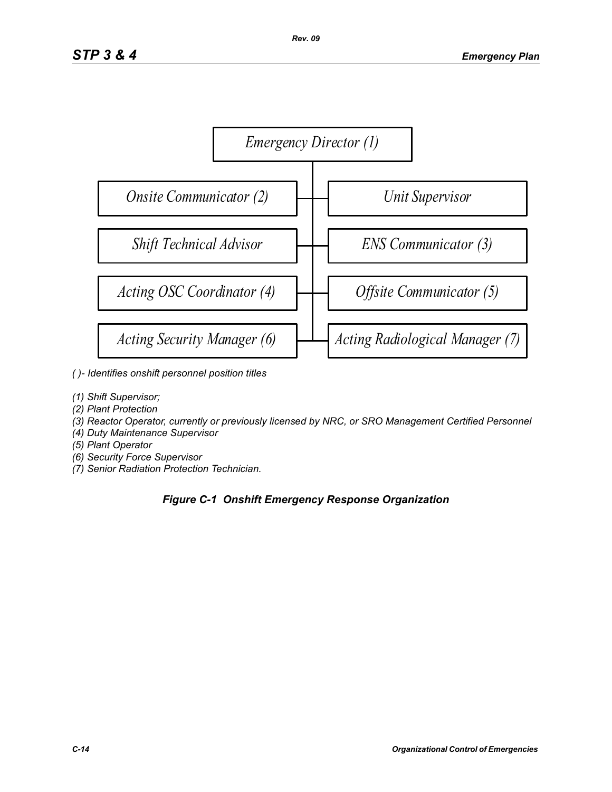

- *( )- Identifies onshift personnel position titles*
- *(1) Shift Supervisor;*
- *(2) Plant Protection*
- *(3) Reactor Operator, currently or previously licensed by NRC, or SRO Management Certified Personnel*
- *(4) Duty Maintenance Supervisor*
- *(5) Plant Operator*
- *(6) Security Force Supervisor*
- *(7) Senior Radiation Protection Technician.*

### *Figure C-1 Onshift Emergency Response Organization*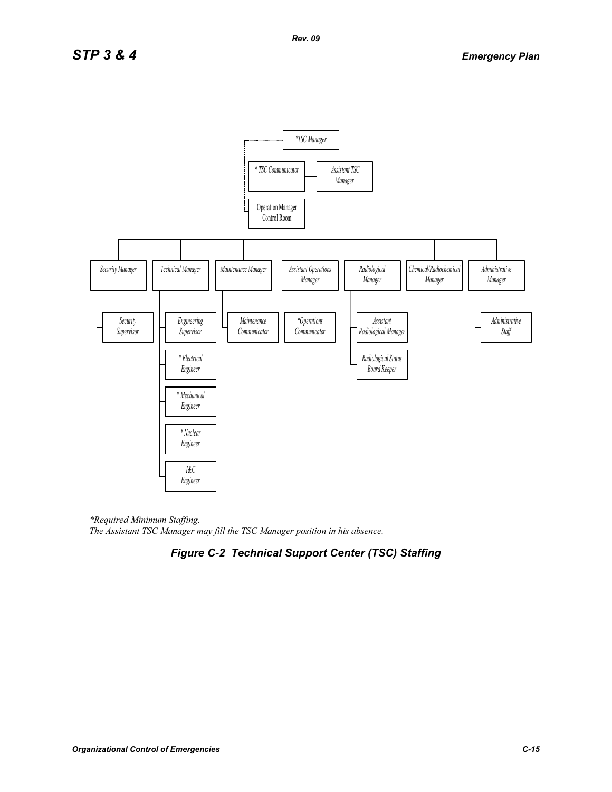

*\*Required Minimum Staffing. The Assistant TSC Manager may fill the TSC Manager position in his absence.* 

# *Figure C-2 Technical Support Center (TSC) Staffing*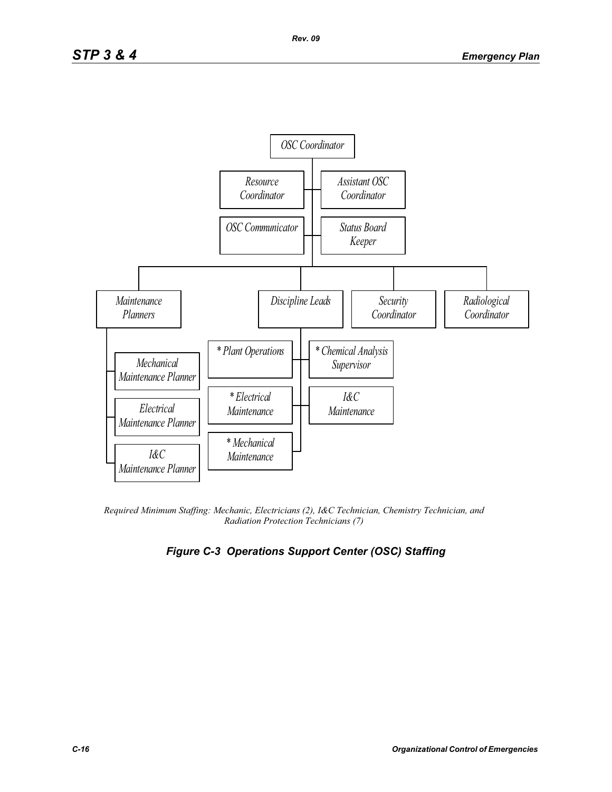

*Required Minimum Staffing: Mechanic, Electricians (2), I&C Technician, Chemistry Technician, and Radiation Protection Technicians (7)* 

# *Figure C-3 Operations Support Center (OSC) Staffing*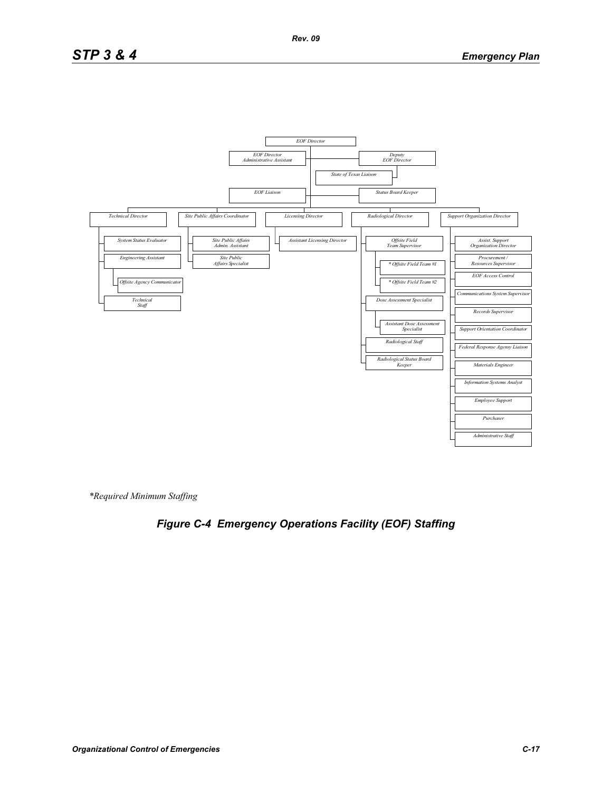# *STP 3 & 4 Emergency Plan*



*\*Required Minimum Staffing*

# *Figure C-4 Emergency Operations Facility (EOF) Staffing*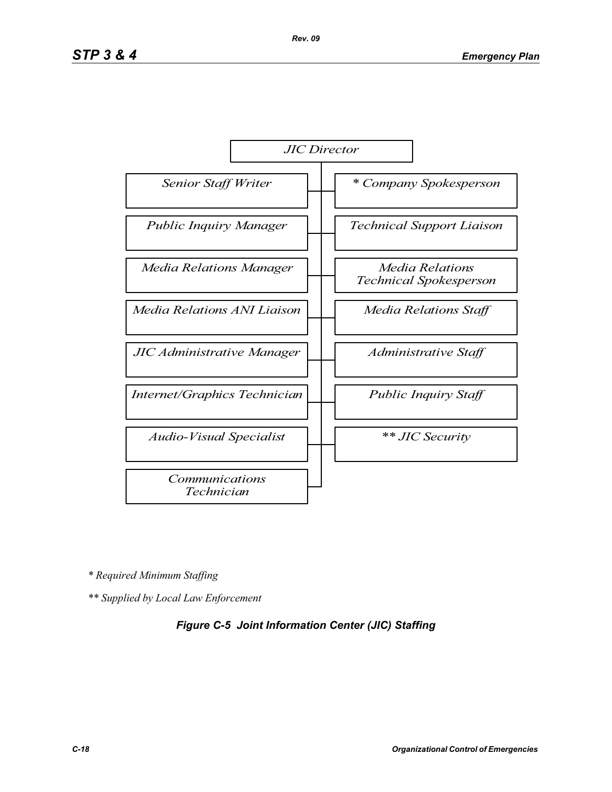

*\* Required Minimum Staffing*

*\*\* Supplied by Local Law Enforcement* 

### *Figure C-5 Joint Information Center (JIC) Staffing*